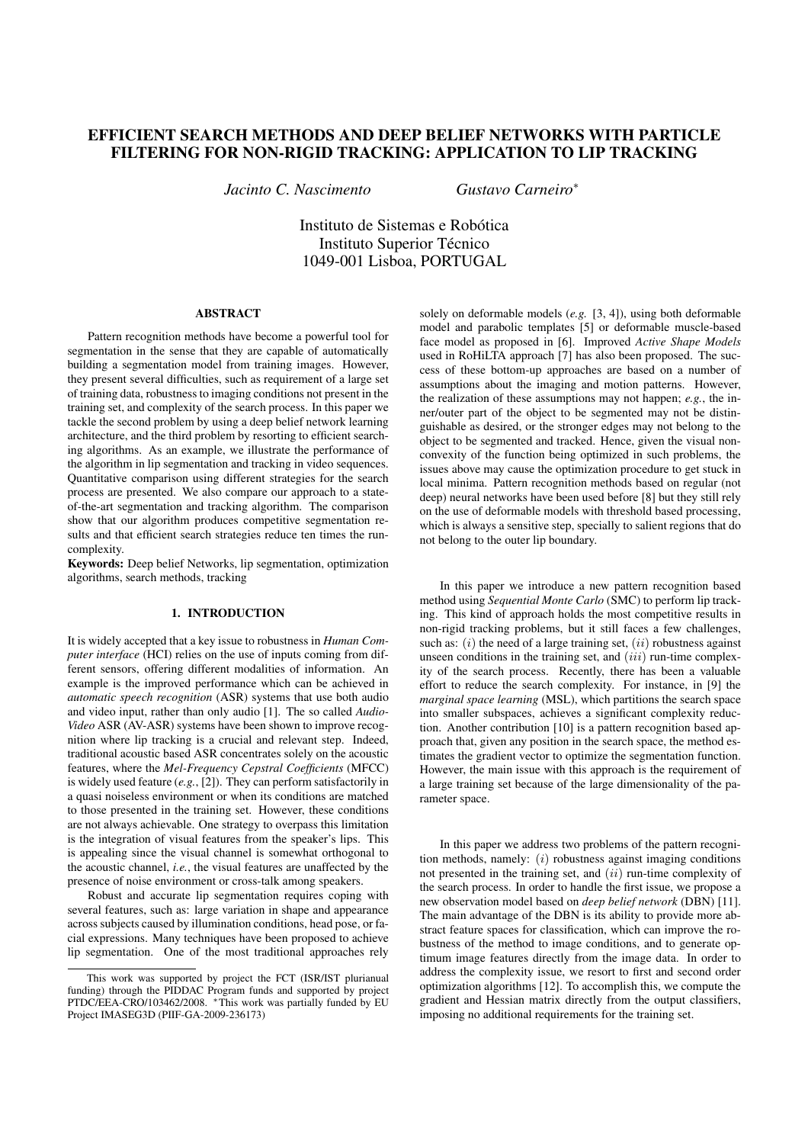# EFFICIENT SEARCH METHODS AND DEEP BELIEF NETWORKS WITH PARTICLE FILTERING FOR NON-RIGID TRACKING: APPLICATION TO LIP TRACKING

*Jacinto C. Nascimento Gustavo Carneiro*<sup>∗</sup>

Instituto de Sistemas e Robotica ´ Instituto Superior Técnico 1049-001 Lisboa, PORTUGAL

# ABSTRACT

Pattern recognition methods have become a powerful tool for segmentation in the sense that they are capable of automatically building a segmentation model from training images. However, they present several difficulties, such as requirement of a large set of training data, robustness to imaging conditions not present in the training set, and complexity of the search process. In this paper we tackle the second problem by using a deep belief network learning architecture, and the third problem by resorting to efficient searching algorithms. As an example, we illustrate the performance of the algorithm in lip segmentation and tracking in video sequences. Quantitative comparison using different strategies for the search process are presented. We also compare our approach to a stateof-the-art segmentation and tracking algorithm. The comparison show that our algorithm produces competitive segmentation results and that efficient search strategies reduce ten times the runcomplexity.

Keywords: Deep belief Networks, lip segmentation, optimization algorithms, search methods, tracking

### 1. INTRODUCTION

It is widely accepted that a key issue to robustness in *Human Computer interface* (HCI) relies on the use of inputs coming from different sensors, offering different modalities of information. An example is the improved performance which can be achieved in *automatic speech recognition* (ASR) systems that use both audio and video input, rather than only audio [1]. The so called *Audio-Video* ASR (AV-ASR) systems have been shown to improve recognition where lip tracking is a crucial and relevant step. Indeed, traditional acoustic based ASR concentrates solely on the acoustic features, where the *Mel-Frequency Cepstral Coefficients* (MFCC) is widely used feature (*e.g.*, [2]). They can perform satisfactorily in a quasi noiseless environment or when its conditions are matched to those presented in the training set. However, these conditions are not always achievable. One strategy to overpass this limitation is the integration of visual features from the speaker's lips. This is appealing since the visual channel is somewhat orthogonal to the acoustic channel, *i.e.*, the visual features are unaffected by the presence of noise environment or cross-talk among speakers.

Robust and accurate lip segmentation requires coping with several features, such as: large variation in shape and appearance across subjects caused by illumination conditions, head pose, or facial expressions. Many techniques have been proposed to achieve lip segmentation. One of the most traditional approaches rely

solely on deformable models (*e.g.* [3, 4]), using both deformable model and parabolic templates [5] or deformable muscle-based face model as proposed in [6]. Improved *Active Shape Models* used in RoHiLTA approach [7] has also been proposed. The success of these bottom-up approaches are based on a number of assumptions about the imaging and motion patterns. However, the realization of these assumptions may not happen; *e.g.*, the inner/outer part of the object to be segmented may not be distinguishable as desired, or the stronger edges may not belong to the object to be segmented and tracked. Hence, given the visual nonconvexity of the function being optimized in such problems, the issues above may cause the optimization procedure to get stuck in local minima. Pattern recognition methods based on regular (not deep) neural networks have been used before [8] but they still rely on the use of deformable models with threshold based processing, which is always a sensitive step, specially to salient regions that do not belong to the outer lip boundary.

In this paper we introduce a new pattern recognition based method using *Sequential Monte Carlo* (SMC) to perform lip tracking. This kind of approach holds the most competitive results in non-rigid tracking problems, but it still faces a few challenges, such as:  $(i)$  the need of a large training set,  $(ii)$  robustness against unseen conditions in the training set, and  $(iii)$  run-time complexity of the search process. Recently, there has been a valuable effort to reduce the search complexity. For instance, in [9] the *marginal space learning* (MSL), which partitions the search space into smaller subspaces, achieves a significant complexity reduction. Another contribution [10] is a pattern recognition based approach that, given any position in the search space, the method estimates the gradient vector to optimize the segmentation function. However, the main issue with this approach is the requirement of a large training set because of the large dimensionality of the parameter space.

In this paper we address two problems of the pattern recognition methods, namely:  $(i)$  robustness against imaging conditions not presented in the training set, and  $(ii)$  run-time complexity of the search process. In order to handle the first issue, we propose a new observation model based on *deep belief network* (DBN) [11]. The main advantage of the DBN is its ability to provide more abstract feature spaces for classification, which can improve the robustness of the method to image conditions, and to generate optimum image features directly from the image data. In order to address the complexity issue, we resort to first and second order optimization algorithms [12]. To accomplish this, we compute the gradient and Hessian matrix directly from the output classifiers, imposing no additional requirements for the training set.

This work was supported by project the FCT (ISR/IST plurianual funding) through the PIDDAC Program funds and supported by project PTDC/EEA-CRO/103462/2008. \*This work was partially funded by EU Project IMASEG3D (PIIF-GA-2009-236173)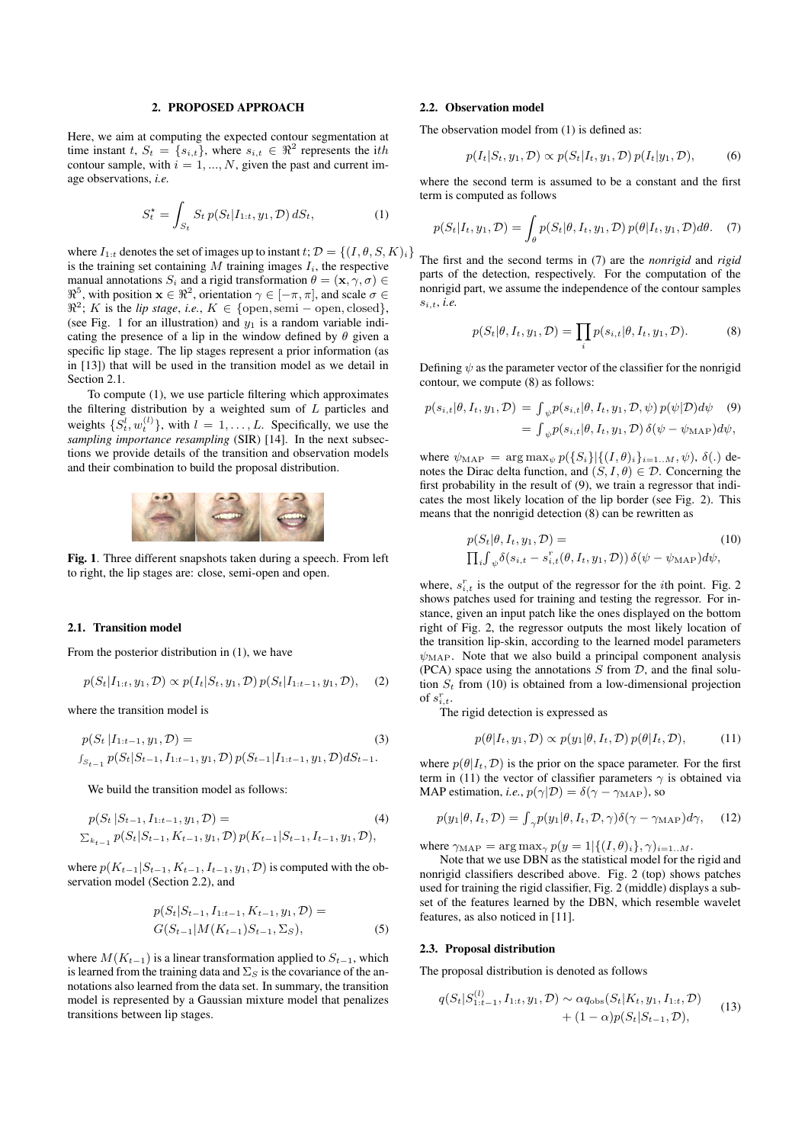### 2. PROPOSED APPROACH

Here, we aim at computing the expected contour segmentation at time instant t,  $S_t = \{s_{i,t}\}\$ , where  $s_{i,t} \in \Re^2$  represents the ith contour sample, with  $i = 1, ..., N$ , given the past and current image observations, *i.e.*

$$
S_t^* = \int_{S_t} S_t p(S_t | I_{1:t}, y_1, \mathcal{D}) dS_t, \tag{1}
$$

where  $I_{1:t}$  denotes the set of images up to instant  $t; \mathcal{D} = \{(I, \theta, S, K)_{i}\}$ is the training set containing  $M$  training images  $I_i$ , the respective manual annotations  $S_i$  and a rigid transformation  $\theta = (\mathbf{x}, \gamma, \sigma) \in$  $\mathbb{R}^5$ , with position  $\mathbf{x} \in \mathbb{R}^2$ , orientation  $\gamma \in [-\pi, \pi]$ , and scale  $\sigma \in$  $\mathbb{R}^2$ ; K is the *lip stage*, *i.e.*,  $K \in \{\text{open, semi}-\text{open, closed}\},\$ (see Fig. 1 for an illustration) and  $y_1$  is a random variable indicating the presence of a lip in the window defined by  $\theta$  given a specific lip stage. The lip stages represent a prior information (as in [13]) that will be used in the transition model as we detail in Section 2.1.

To compute (1), we use particle filtering which approximates the filtering distribution by a weighted sum of  $L$  particles and weights  $\{S_t^l, w_t^{(l)}\}$ , with  $l = 1, \ldots, L$ . Specifically, we use the *sampling importance resampling* (SIR) [14]. In the next subsections we provide details of the transition and observation models and their combination to build the proposal distribution.



Fig. 1. Three different snapshots taken during a speech. From left to right, the lip stages are: close, semi-open and open.

#### 2.1. Transition model

From the posterior distribution in (1), we have

$$
p(S_t|I_{1:t}, y_1, \mathcal{D}) \propto p(I_t|S_t, y_1, \mathcal{D}) p(S_t|I_{1:t-1}, y_1, \mathcal{D}), \quad (2)
$$

where the transition model is

$$
p(S_t | I_{1:t-1}, y_1, \mathcal{D}) =
$$
  
\n
$$
\int_{S_{t-1}} p(S_t | S_{t-1}, I_{1:t-1}, y_1, \mathcal{D}) p(S_{t-1} | I_{1:t-1}, y_1, \mathcal{D}) dS_{t-1}.
$$
\n(3)

We build the transition model as follows:

$$
p(S_t | S_{t-1}, I_{1:t-1}, y_1, \mathcal{D}) =
$$
  
\n
$$
\sum_{k_{t-1}} p(S_t | S_{t-1}, K_{t-1}, y_1, \mathcal{D}) p(K_{t-1} | S_{t-1}, I_{t-1}, y_1, \mathcal{D}),
$$
\n(4)

where  $p(K_{t-1}|S_{t-1}, K_{t-1}, I_{t-1}, y_1, \mathcal{D})$  is computed with the observation model (Section 2.2), and

$$
p(S_t|S_{t-1}, I_{1:t-1}, K_{t-1}, y_1, \mathcal{D}) =
$$
  
\n
$$
G(S_{t-1}|M(K_{t-1})S_{t-1}, \Sigma_S),
$$
\n(5)

where  $M(K_{t-1})$  is a linear transformation applied to  $S_{t-1}$ , which is learned from the training data and  $\Sigma_S$  is the covariance of the annotations also learned from the data set. In summary, the transition model is represented by a Gaussian mixture model that penalizes transitions between lip stages.

#### 2.2. Observation model

The observation model from (1) is defined as:

$$
p(I_t|S_t, y_1, \mathcal{D}) \propto p(S_t|I_t, y_1, \mathcal{D}) p(I_t|y_1, \mathcal{D}), \tag{6}
$$

where the second term is assumed to be a constant and the first term is computed as follows

$$
p(S_t|I_t, y_1, \mathcal{D}) = \int_{\theta} p(S_t|\theta, I_t, y_1, \mathcal{D}) p(\theta|I_t, y_1, \mathcal{D}) d\theta. \quad (7)
$$

The first and the second terms in (7) are the *nonrigid* and *rigid* parts of the detection, respectively. For the computation of the nonrigid part, we assume the independence of the contour samples si,t, *i.e.*

$$
p(S_t|\theta, I_t, y_1, \mathcal{D}) = \prod_i p(s_{i,t}|\theta, I_t, y_1, \mathcal{D}).
$$
 (8)

Defining  $\psi$  as the parameter vector of the classifier for the nonrigid contour, we compute (8) as follows:

$$
p(s_{i,t}|\theta, I_t, y_1, \mathcal{D}) = \int_{\psi} p(s_{i,t}|\theta, I_t, y_1, \mathcal{D}, \psi) p(\psi|\mathcal{D}) d\psi \quad (9)
$$
  
= 
$$
\int_{\psi} p(s_{i,t}|\theta, I_t, y_1, \mathcal{D}) \delta(\psi - \psi_{MAP}) d\psi,
$$

where  $\psi_{\text{MAP}} = \arg \max_{\psi} p(\{S_i\} | \{(I, \theta)_i\}_{i=1...M}, \psi), \delta(.)$  denotes the Dirac delta function, and  $(S, I, \theta) \in \mathcal{D}$ . Concerning the first probability in the result of (9), we train a regressor that indicates the most likely location of the lip border (see Fig. 2). This means that the nonrigid detection (8) can be rewritten as

$$
p(S_t | \theta, I_t, y_1, \mathcal{D}) = \prod_i \int_{\psi} \delta(s_{i,t} - s_{i,t}^r(\theta, I_t, y_1, \mathcal{D})) \delta(\psi - \psi_{MAP}) d\psi,
$$
\n(10)

where,  $s_{i,t}^r$  is the output of the regressor for the *i*th point. Fig. 2 shows patches used for training and testing the regressor. For instance, given an input patch like the ones displayed on the bottom right of Fig. 2, the regressor outputs the most likely location of the transition lip-skin, according to the learned model parameters  $\psi_{\text{MAP}}$ . Note that we also build a principal component analysis (PCA) space using the annotations  $S$  from  $D$ , and the final solution  $S_t$  from (10) is obtained from a low-dimensional projection of  $s_{i,t}^r$ .

The rigid detection is expressed as

$$
p(\theta | I_t, y_1, \mathcal{D}) \propto p(y_1 | \theta, I_t, \mathcal{D}) p(\theta | I_t, \mathcal{D}), \quad (11)
$$

where  $p(\theta | I_t, \mathcal{D})$  is the prior on the space parameter. For the first term in (11) the vector of classifier parameters  $\gamma$  is obtained via MAP estimation, *i.e.*,  $p(\gamma | \mathcal{D}) = \delta(\gamma - \gamma_{MAP})$ , so

$$
p(y_1 | \theta, I_t, \mathcal{D}) = \int_{\gamma} p(y_1 | \theta, I_t, \mathcal{D}, \gamma) \delta(\gamma - \gamma_{\text{MAP}}) d\gamma, \quad (12)
$$

where  $\gamma_{\text{MAP}} = \arg \max_{\gamma} p(y = 1 | \{(I, \theta)_i\}, \gamma)_{i=1..M}$ .

Note that we use DBN as the statistical model for the rigid and nonrigid classifiers described above. Fig. 2 (top) shows patches used for training the rigid classifier, Fig. 2 (middle) displays a subset of the features learned by the DBN, which resemble wavelet features, as also noticed in [11].

#### 2.3. Proposal distribution

The proposal distribution is denoted as follows

$$
q(S_t|S_{1:t-1}^{(l)}, I_{1:t}, y_1, \mathcal{D}) \sim \alpha q_{\text{obs}}(S_t|K_t, y_1, I_{1:t}, \mathcal{D}) + (1-\alpha)p(S_t|S_{t-1}, \mathcal{D}),
$$
 (13)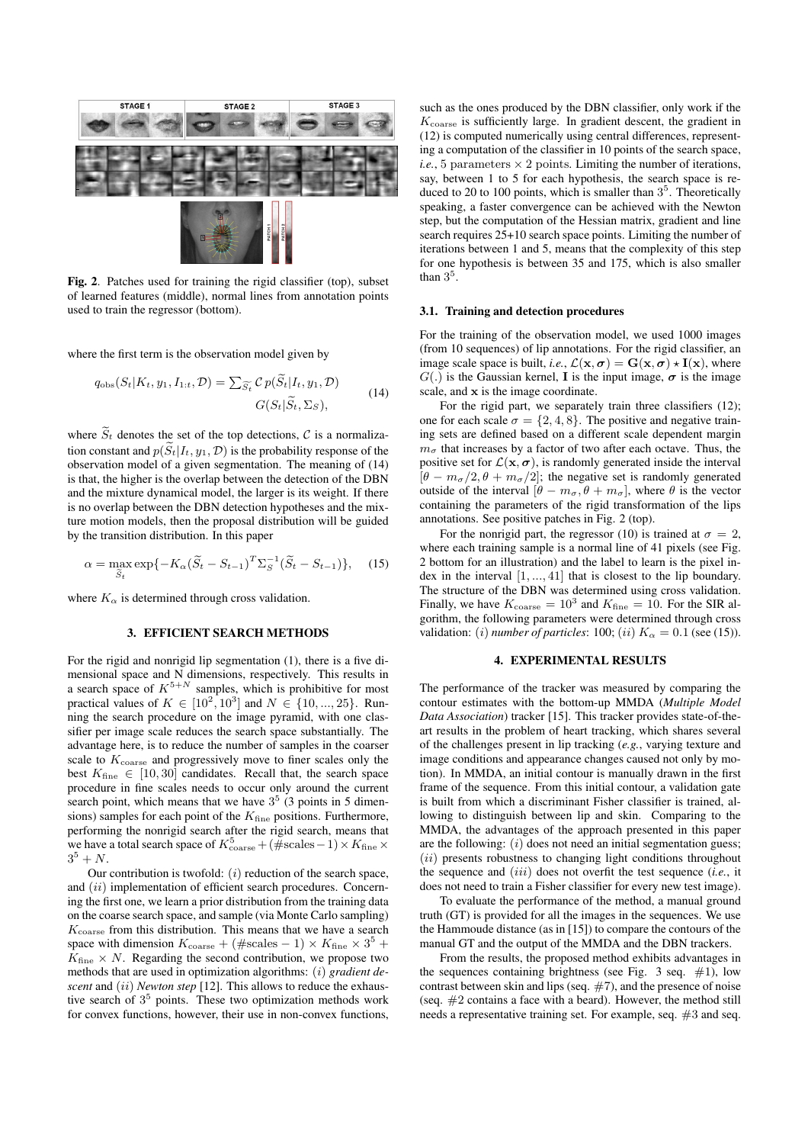

Fig. 2. Patches used for training the rigid classifier (top), subset of learned features (middle), normal lines from annotation points used to train the regressor (bottom).

where the first term is the observation model given by

$$
q_{\text{obs}}(S_t|K_t, y_1, I_{1:t}, \mathcal{D}) = \sum_{\widetilde{S}_t} \mathcal{C} p(\widetilde{S}_t|I_t, y_1, \mathcal{D})
$$
  

$$
G(S_t|\widetilde{S}_t, \Sigma_S),
$$
 (14)

where  $\widetilde{S}_t$  denotes the set of the top detections, C is a normalization constant and  $p(\widetilde{S}_t|I_t, y_1, \mathcal{D})$  is the probability response of the observation model of a given segmentation. The meaning of (14) is that, the higher is the overlap between the detection of the DBN and the mixture dynamical model, the larger is its weight. If there is no overlap between the DBN detection hypotheses and the mixture motion models, then the proposal distribution will be guided by the transition distribution. In this paper

$$
\alpha = \max_{\widetilde{S}_t} \exp\{-K_{\alpha}(\widetilde{S}_t - S_{t-1})^T \Sigma_S^{-1} (\widetilde{S}_t - S_{t-1})\},\tag{15}
$$

where  $K_{\alpha}$  is determined through cross validation.

### 3. EFFICIENT SEARCH METHODS

For the rigid and nonrigid lip segmentation (1), there is a five dimensional space and N dimensions, respectively. This results in a search space of  $K^{5+N}$  samples, which is prohibitive for most practical values of  $K \in [10^2, 10^3]$  and  $N \in \{10, ..., 25\}$ . Running the search procedure on the image pyramid, with one classifier per image scale reduces the search space substantially. The advantage here, is to reduce the number of samples in the coarser scale to  $K_{\text{coarse}}$  and progressively move to finer scales only the best  $K_{\text{fine}} \in [10, 30]$  candidates. Recall that, the search space procedure in fine scales needs to occur only around the current search point, which means that we have  $3<sup>5</sup>$  (3 points in 5 dimensions) samples for each point of the  $K_{\text{fine}}$  positions. Furthermore, performing the nonrigid search after the rigid search, means that we have a total search space of  $K_{\text{coarse}}^5 + (\text{#scales} - 1) \times K_{\text{fine}} \times$  $3^5 + N$ .

Our contribution is twofold:  $(i)$  reduction of the search space, and  $(ii)$  implementation of efficient search procedures. Concerning the first one, we learn a prior distribution from the training data on the coarse search space, and sample (via Monte Carlo sampling)  $K_{\text{coarse}}$  from this distribution. This means that we have a search space with dimension  $K_{\text{coarse}} + (\text{#scales} - 1) \times K_{\text{fine}} \times 3^5 +$  $K_{\text{fine}} \times N$ . Regarding the second contribution, we propose two methods that are used in optimization algorithms: (i) *gradient descent* and (ii) *Newton step* [12]. This allows to reduce the exhaustive search of 3 5 points. These two optimization methods work for convex functions, however, their use in non-convex functions,

such as the ones produced by the DBN classifier, only work if the  $K_{\text{coarse}}$  is sufficiently large. In gradient descent, the gradient in (12) is computed numerically using central differences, representing a computation of the classifier in 10 points of the search space, *i.e.*, 5 parameters  $\times$  2 points. Limiting the number of iterations, say, between 1 to 5 for each hypothesis, the search space is reduced to 20 to 100 points, which is smaller than  $3<sup>5</sup>$ . Theoretically speaking, a faster convergence can be achieved with the Newton step, but the computation of the Hessian matrix, gradient and line search requires 25+10 search space points. Limiting the number of iterations between 1 and 5, means that the complexity of this step for one hypothesis is between 35 and 175, which is also smaller than  $3^5$ .

### 3.1. Training and detection procedures

For the training of the observation model, we used 1000 images (from 10 sequences) of lip annotations. For the rigid classifier, an image scale space is built, *i.e.*,  $\mathcal{L}(\mathbf{x}, \sigma) = \mathbf{G}(\mathbf{x}, \sigma) \star \mathbf{I}(\mathbf{x})$ , where  $G(.)$  is the Gaussian kernel, **I** is the input image,  $\sigma$  is the image scale, and  $x$  is the image coordinate.

For the rigid part, we separately train three classifiers  $(12)$ ; one for each scale  $\sigma = \{2, 4, 8\}$ . The positive and negative training sets are defined based on a different scale dependent margin  $m<sub>\sigma</sub>$  that increases by a factor of two after each octave. Thus, the positive set for  $\mathcal{L}(\mathbf{x}, \sigma)$ , is randomly generated inside the interval  $[\theta - m_{\sigma}/2, \theta + m_{\sigma}/2]$ ; the negative set is randomly generated outside of the interval  $[\theta - m_{\sigma}, \theta + m_{\sigma}]$ , where  $\theta$  is the vector containing the parameters of the rigid transformation of the lips annotations. See positive patches in Fig. 2 (top).

For the nonrigid part, the regressor (10) is trained at  $\sigma = 2$ , where each training sample is a normal line of 41 pixels (see Fig. 2 bottom for an illustration) and the label to learn is the pixel index in the interval  $[1, ..., 41]$  that is closest to the lip boundary. The structure of the DBN was determined using cross validation. Finally, we have  $K_{\text{coarse}} = 10^3$  and  $K_{\text{fine}} = 10$ . For the SIR algorithm, the following parameters were determined through cross validation: (i) *number of particles*: 100; (ii)  $K_{\alpha} = 0.1$  (see (15)).

# 4. EXPERIMENTAL RESULTS

The performance of the tracker was measured by comparing the contour estimates with the bottom-up MMDA (*Multiple Model Data Association*) tracker [15]. This tracker provides state-of-theart results in the problem of heart tracking, which shares several of the challenges present in lip tracking (*e.g.*, varying texture and image conditions and appearance changes caused not only by motion). In MMDA, an initial contour is manually drawn in the first frame of the sequence. From this initial contour, a validation gate is built from which a discriminant Fisher classifier is trained, allowing to distinguish between lip and skin. Comparing to the MMDA, the advantages of the approach presented in this paper are the following:  $(i)$  does not need an initial segmentation guess;  $(ii)$  presents robustness to changing light conditions throughout the sequence and (iii) does not overfit the test sequence (*i.e.*, it does not need to train a Fisher classifier for every new test image).

To evaluate the performance of the method, a manual ground truth (GT) is provided for all the images in the sequences. We use the Hammoude distance (as in [15]) to compare the contours of the manual GT and the output of the MMDA and the DBN trackers.

From the results, the proposed method exhibits advantages in the sequences containing brightness (see Fig. 3 seq.  $\#1$ ), low contrast between skin and lips (seq. #7), and the presence of noise (seq. #2 contains a face with a beard). However, the method still needs a representative training set. For example, seq. #3 and seq.